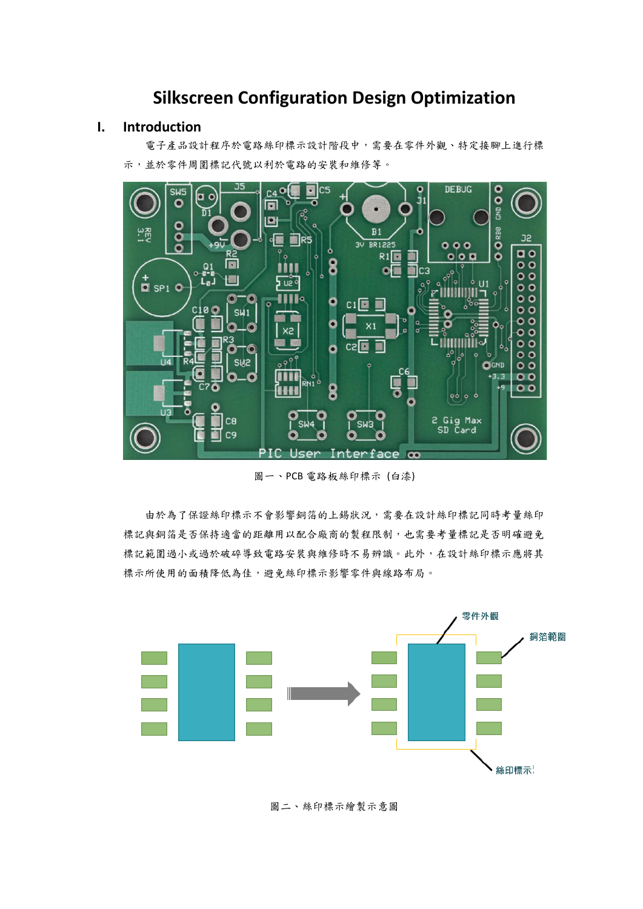# **Silkscreen Configuration Design Optimization**

## **I. Introduction**

 電子產品設計程序於電路絲印標示設計階段中,需要在零件外觀、特定接腳上進行標 示,並於零件周圍標記代號以利於電路的安裝和維修等。



圖一、PCB 電路板絲印標示 (白漆)

 由於為了保證絲印標示不會影響銅箔的上錫狀況,需要在設計絲印標記同時考量絲印 標記與銅箔是否保持適當的距離用以配合廠商的製程限制,也需要考量標記是否明確避免 標記範圍過小或過於破碎導致電路安裝與維修時不易辨識。此外,在設計絲印標示應將其 標示所使用的面積降低為佳,避免絲印標示影響零件與線路布局。



圖二、絲印標示繪製示意圖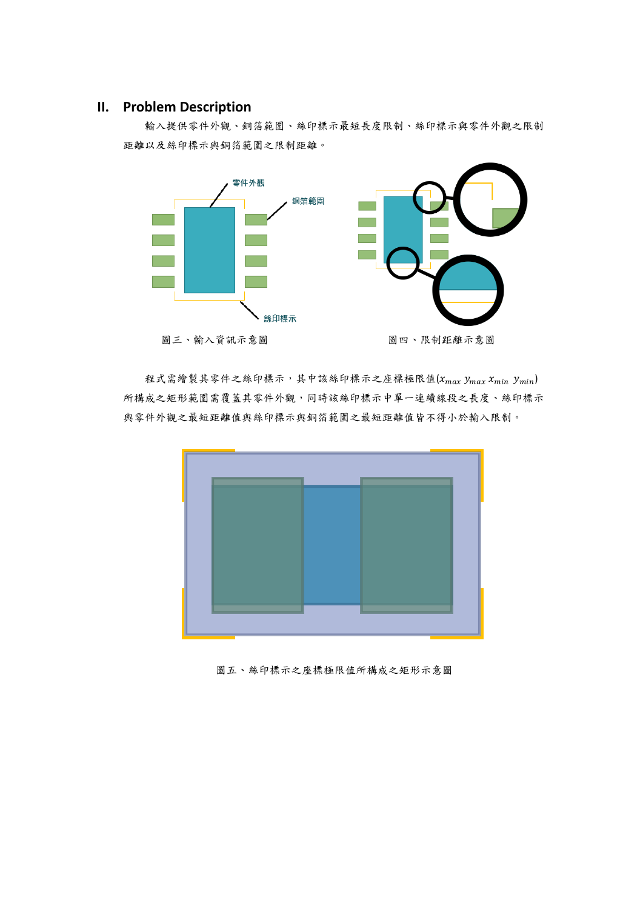## **II. Problem Description**

 輸入提供零件外觀、銅箔範圍、絲印標示最短長度限制、絲印標示與零件外觀之限制 距離以及絲印標示與銅箔範圍之限制距離。



程式需繪製其零件之絲印標示,其中該絲印標示之座標極限值 $(x_{max}$   $y_{max}$   $x_{min}$   $y_{min})$ 所構成之矩形範圍需覆蓋其零件外觀,同時該絲印標示中單一連續線段之長度、絲印標示 與零件外觀之最短距離值與絲印標示與銅箔範圍之最短距離值皆不得小於輸入限制。



圖五、絲印標示之座標極限值所構成之矩形示意圖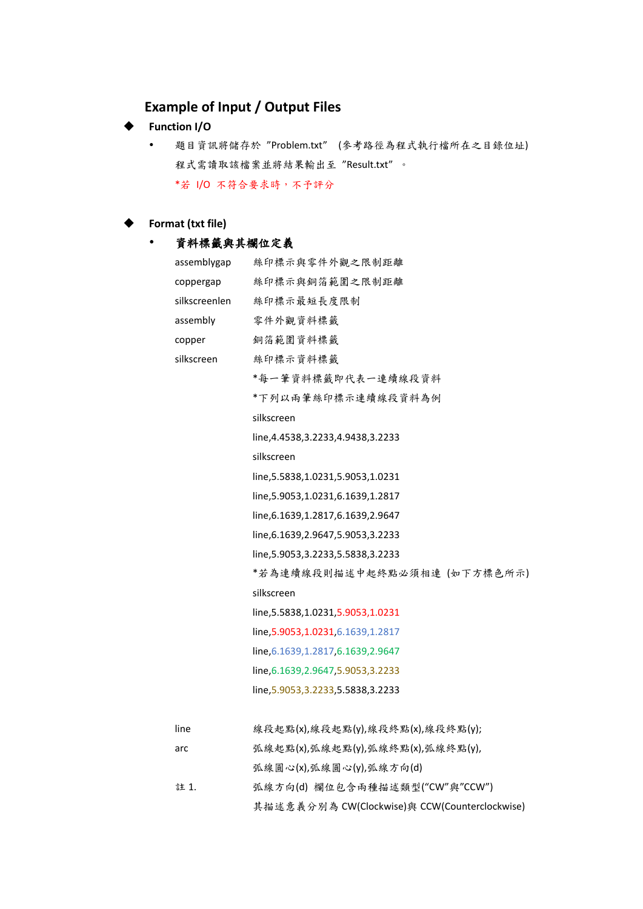# **Example of Input / Output Files**

## **Function I/O**

 題目資訊將儲存於 "Problem.txt" (參考路徑為程式執行檔所在之目錄位址) 程式需讀取該檔案並將結果輸出至 "Result.txt" 。 \*若 I/O 不符合要求時,不予評分

## ◆ **Format (txt file)**

# 資料標籤與其欄位定義

| assemblygap   | 絲印標示與零件外觀之限制距離                                |
|---------------|-----------------------------------------------|
| coppergap     | 絲印標示與銅箔範圍之限制距離                                |
| silkscreenlen | 絲印標示最短長度限制                                    |
| assembly      | 零件外觀資料標籤                                      |
| copper        | 銅箔範圍資料標籤                                      |
| silkscreen    | 絲印標示資料標籤                                      |
|               | *每一筆資料標籤即代表一連續線段資料                            |
|               | *下列以兩筆絲印標示連續線段資料為例                            |
|               | silkscreen                                    |
|               | line, 4.4538, 3.2233, 4.9438, 3.2233          |
|               | silkscreen                                    |
|               | line, 5.5838, 1.0231, 5.9053, 1.0231          |
|               | line, 5.9053, 1.0231, 6.1639, 1.2817          |
|               | line, 6.1639, 1.2817, 6.1639, 2.9647          |
|               | line, 6.1639, 2.9647, 5.9053, 3.2233          |
|               | line, 5.9053, 3.2233, 5.5838, 3.2233          |
|               | *若為連續線段則描述中起終點必須相連 (如下方標色所示)                  |
|               | silkscreen                                    |
|               | line, 5.5838, 1.0231, 5.9053, 1.0231          |
|               | line, 5.9053, 1.0231, 6.1639, 1.2817          |
|               | line, 6.1639, 1.2817, 6.1639, 2.9647          |
|               | line, 6.1639, 2.9647, 5.9053, 3.2233          |
|               | line, 5.9053, 3.2233, 5.5838, 3.2233          |
|               |                                               |
| line          | 線段起點(x),線段起點(y),線段終點(x),線段終點(y);              |
| arc           | 弧線起點(x),弧線起點(y),弧線終點(x),弧線終點(y),              |
|               | 弧線圓心(x),弧線圓心(y),弧線方向(d)                       |
| 註 1.          | 弧線方向(d)欄位包含兩種描述類型("CW"與"CCW")                 |
|               | 其描述意義分別為 CW(Clockwise)與 CCW(Counterclockwise) |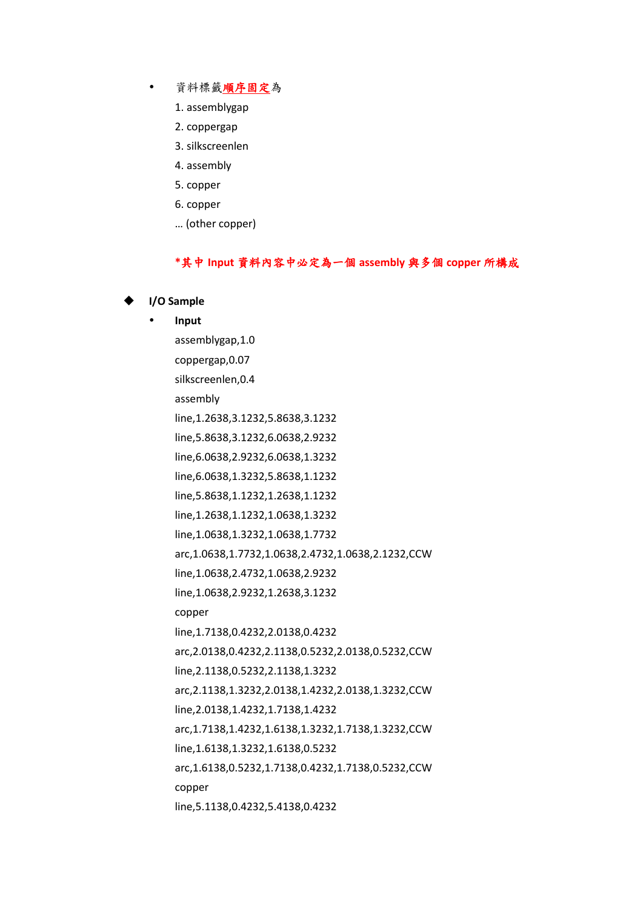- 資料標籤順序固定為
	- 1. assemblygap
	- 2. coppergap
	- 3. silkscreenlen
	- 4. assembly
	- 5. copper
	- 6. copper
	- … (other copper)

### **\***其中 **Input** 資料內容中必定為一個 **assembly** 與多個 **copper** 所構成

### ◆ **I/O Sample**

# **Input** assemblygap,1.0 coppergap,0.07 silkscreenlen,0.4 assembly line,1.2638,3.1232,5.8638,3.1232 line,5.8638,3.1232,6.0638,2.9232 line,6.0638,2.9232,6.0638,1.3232 line,6.0638,1.3232,5.8638,1.1232 line,5.8638,1.1232,1.2638,1.1232 line,1.2638,1.1232,1.0638,1.3232 line,1.0638,1.3232,1.0638,1.7732 arc,1.0638,1.7732,1.0638,2.4732,1.0638,2.1232,CCW line,1.0638,2.4732,1.0638,2.9232 line,1.0638,2.9232,1.2638,3.1232 copper line,1.7138,0.4232,2.0138,0.4232 arc,2.0138,0.4232,2.1138,0.5232,2.0138,0.5232,CCW line,2.1138,0.5232,2.1138,1.3232 arc,2.1138,1.3232,2.0138,1.4232,2.0138,1.3232,CCW line,2.0138,1.4232,1.7138,1.4232 arc,1.7138,1.4232,1.6138,1.3232,1.7138,1.3232,CCW line,1.6138,1.3232,1.6138,0.5232 arc,1.6138,0.5232,1.7138,0.4232,1.7138,0.5232,CCW copper line,5.1138,0.4232,5.4138,0.4232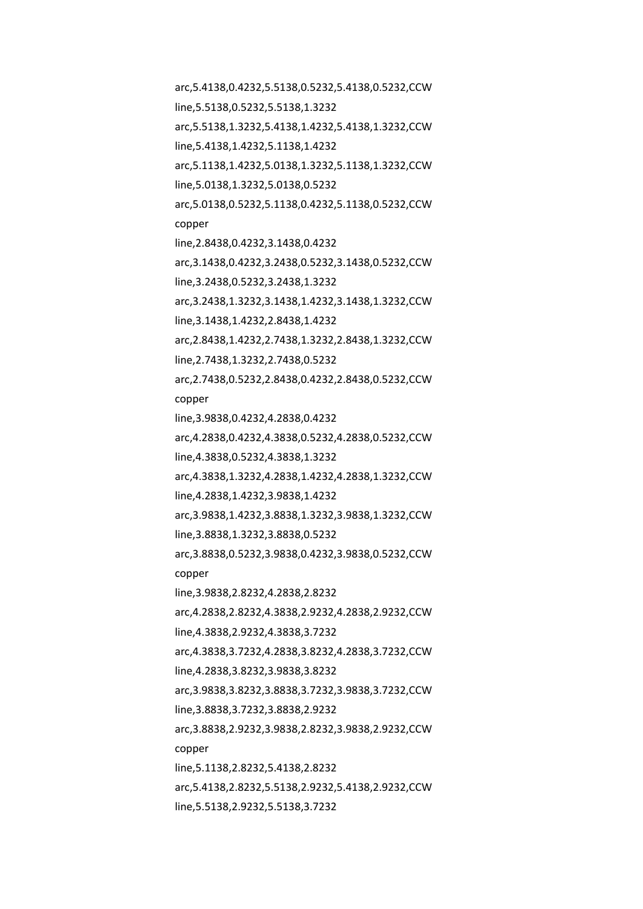arc,5.4138,0.4232,5.5138,0.5232,5.4138,0.5232,CCW line,5.5138,0.5232,5.5138,1.3232 arc,5.5138,1.3232,5.4138,1.4232,5.4138,1.3232,CCW line,5.4138,1.4232,5.1138,1.4232 arc,5.1138,1.4232,5.0138,1.3232,5.1138,1.3232,CCW line,5.0138,1.3232,5.0138,0.5232 arc,5.0138,0.5232,5.1138,0.4232,5.1138,0.5232,CCW copper line,2.8438,0.4232,3.1438,0.4232 arc,3.1438,0.4232,3.2438,0.5232,3.1438,0.5232,CCW line,3.2438,0.5232,3.2438,1.3232 arc,3.2438,1.3232,3.1438,1.4232,3.1438,1.3232,CCW line,3.1438,1.4232,2.8438,1.4232 arc,2.8438,1.4232,2.7438,1.3232,2.8438,1.3232,CCW line,2.7438,1.3232,2.7438,0.5232 arc,2.7438,0.5232,2.8438,0.4232,2.8438,0.5232,CCW copper line,3.9838,0.4232,4.2838,0.4232 arc,4.2838,0.4232,4.3838,0.5232,4.2838,0.5232,CCW line,4.3838,0.5232,4.3838,1.3232 arc,4.3838,1.3232,4.2838,1.4232,4.2838,1.3232,CCW line,4.2838,1.4232,3.9838,1.4232 arc,3.9838,1.4232,3.8838,1.3232,3.9838,1.3232,CCW line,3.8838,1.3232,3.8838,0.5232 arc,3.8838,0.5232,3.9838,0.4232,3.9838,0.5232,CCW copper line,3.9838,2.8232,4.2838,2.8232 arc,4.2838,2.8232,4.3838,2.9232,4.2838,2.9232,CCW line,4.3838,2.9232,4.3838,3.7232 arc,4.3838,3.7232,4.2838,3.8232,4.2838,3.7232,CCW line,4.2838,3.8232,3.9838,3.8232 arc,3.9838,3.8232,3.8838,3.7232,3.9838,3.7232,CCW line,3.8838,3.7232,3.8838,2.9232 arc,3.8838,2.9232,3.9838,2.8232,3.9838,2.9232,CCW copper line,5.1138,2.8232,5.4138,2.8232 arc,5.4138,2.8232,5.5138,2.9232,5.4138,2.9232,CCW line,5.5138,2.9232,5.5138,3.7232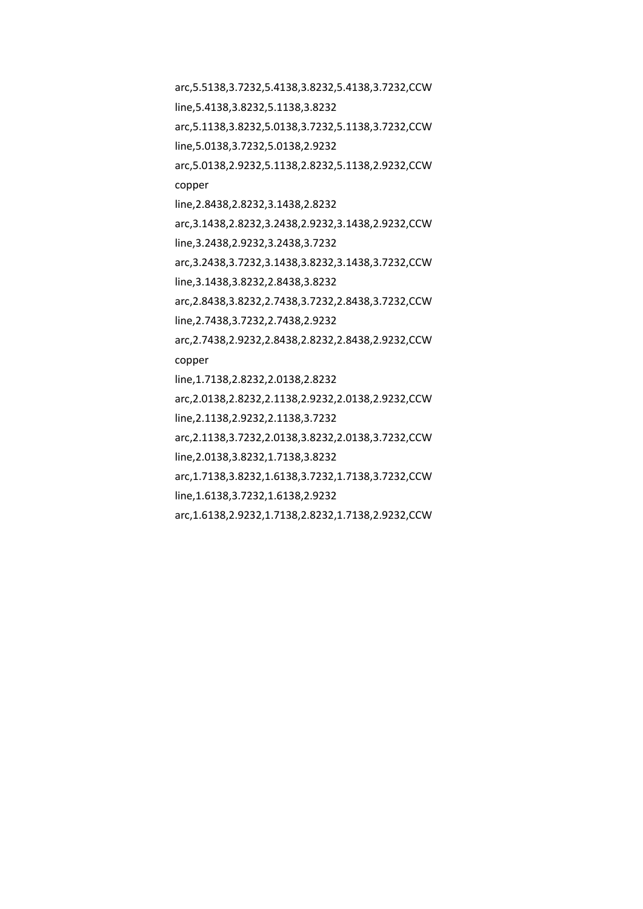arc,5.5138,3.7232,5.4138,3.8232,5.4138,3.7232,CCW line,5.4138,3.8232,5.1138,3.8232 arc,5.1138,3.8232,5.0138,3.7232,5.1138,3.7232,CCW line,5.0138,3.7232,5.0138,2.9232 arc,5.0138,2.9232,5.1138,2.8232,5.1138,2.9232,CCW copper line,2.8438,2.8232,3.1438,2.8232 arc,3.1438,2.8232,3.2438,2.9232,3.1438,2.9232,CCW line,3.2438,2.9232,3.2438,3.7232 arc,3.2438,3.7232,3.1438,3.8232,3.1438,3.7232,CCW line,3.1438,3.8232,2.8438,3.8232 arc,2.8438,3.8232,2.7438,3.7232,2.8438,3.7232,CCW line,2.7438,3.7232,2.7438,2.9232 arc,2.7438,2.9232,2.8438,2.8232,2.8438,2.9232,CCW copper line,1.7138,2.8232,2.0138,2.8232 arc,2.0138,2.8232,2.1138,2.9232,2.0138,2.9232,CCW line,2.1138,2.9232,2.1138,3.7232 arc,2.1138,3.7232,2.0138,3.8232,2.0138,3.7232,CCW line,2.0138,3.8232,1.7138,3.8232 arc,1.7138,3.8232,1.6138,3.7232,1.7138,3.7232,CCW line,1.6138,3.7232,1.6138,2.9232 arc,1.6138,2.9232,1.7138,2.8232,1.7138,2.9232,CCW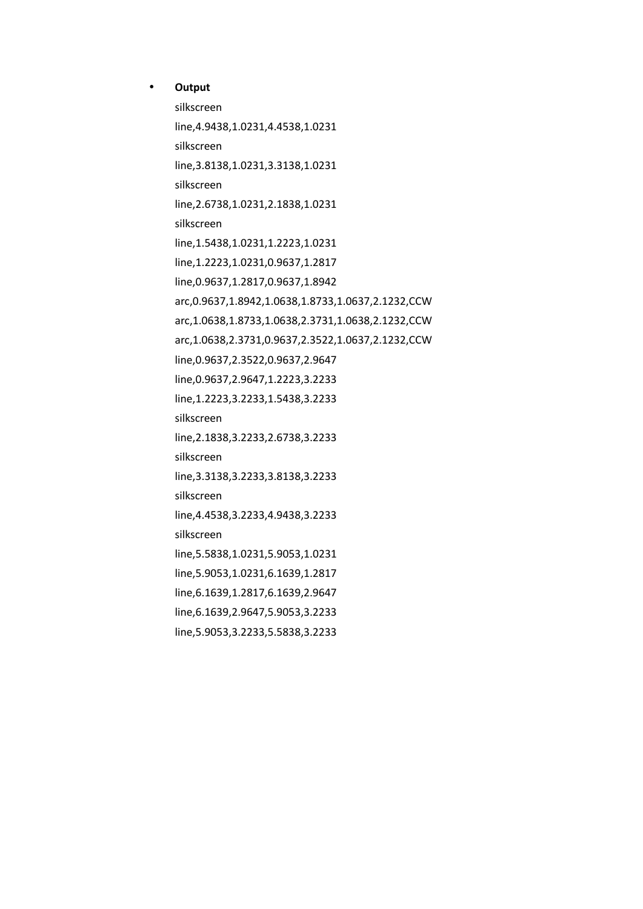### **Output**

silkscreen line,4.9438,1.0231,4.4538,1.0231 silkscreen line,3.8138,1.0231,3.3138,1.0231 silkscreen line,2.6738,1.0231,2.1838,1.0231 silkscreen line,1.5438,1.0231,1.2223,1.0231 line,1.2223,1.0231,0.9637,1.2817 line,0.9637,1.2817,0.9637,1.8942 arc,0.9637,1.8942,1.0638,1.8733,1.0637,2.1232,CCW arc,1.0638,1.8733,1.0638,2.3731,1.0638,2.1232,CCW arc,1.0638,2.3731,0.9637,2.3522,1.0637,2.1232,CCW line,0.9637,2.3522,0.9637,2.9647 line,0.9637,2.9647,1.2223,3.2233 line,1.2223,3.2233,1.5438,3.2233 silkscreen line,2.1838,3.2233,2.6738,3.2233 silkscreen line,3.3138,3.2233,3.8138,3.2233 silkscreen line,4.4538,3.2233,4.9438,3.2233 silkscreen line,5.5838,1.0231,5.9053,1.0231 line,5.9053,1.0231,6.1639,1.2817 line,6.1639,1.2817,6.1639,2.9647 line,6.1639,2.9647,5.9053,3.2233 line,5.9053,3.2233,5.5838,3.2233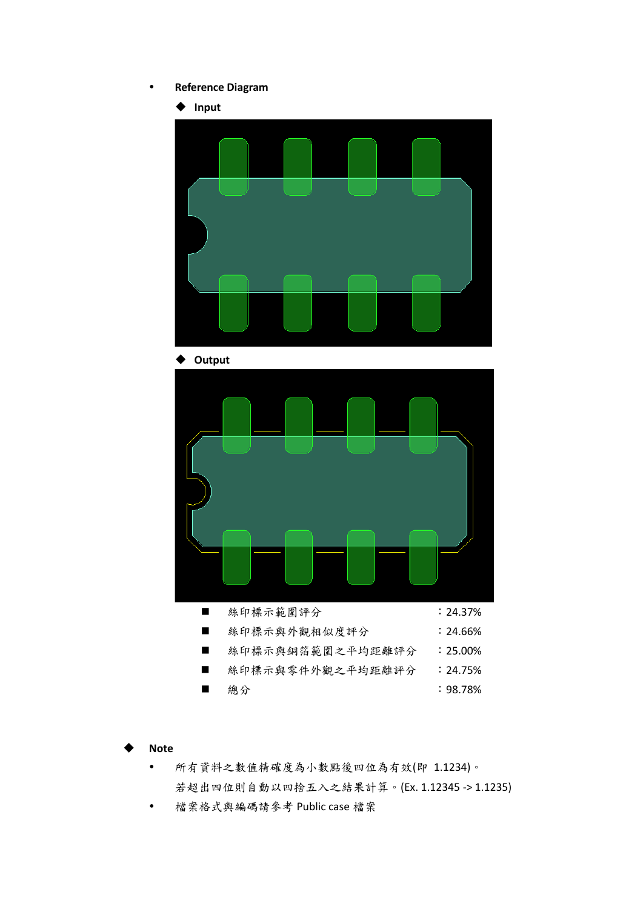#### **Reference Diagram**



- ◆ **Note**
	- 所有資料之數值精確度為小數點後四位為有效(即 1.1234)。 若超出四位則自動以四捨五入之結果計算。(Ex. 1.12345 -> 1.1235)
	- 檔案格式與編碼請參考 Public case 檔案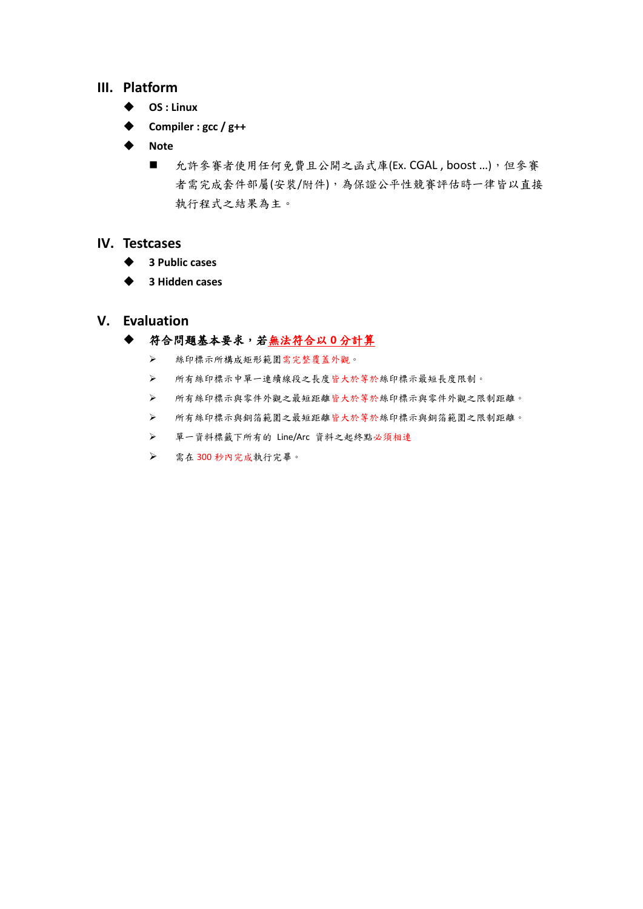## **III. Platform**

- ◆ **OS : Linux**
- ◆ **Compiler : gcc / g++**
- ◆ **Note**
	- 允許參賽者使用任何免費且公開之函式庫(Ex. CGAL, boost ...),但參賽 者需完成套件部屬(安裝/附件),為保證公平性競賽評估時一律皆以直接 執行程式之結果為主。

## **IV. Testcases**

- ◆ **3 Public cases**
- ◆ **3 Hidden cases**
- **V. Evaluation**

## ◆ 符合問題基本要求,若無法符合以 **0** 分計算

- ➢ 絲印標示所構成矩形範圍需完整覆蓋外觀。
- ➢ 所有絲印標示中單一連續線段之長度皆大於等於絲印標示最短長度限制。
- ➢ 所有絲印標示與零件外觀之最短距離皆大於等於絲印標示與零件外觀之限制距離。
- ➢ 所有絲印標示與銅箔範圍之最短距離皆大於等於絲印標示與銅箔範圍之限制距離。
- ➢ 單一資料標籤下所有的 Line/Arc 資料之起終點必須相連
- ➢ 需在 300 秒內完成執行完畢。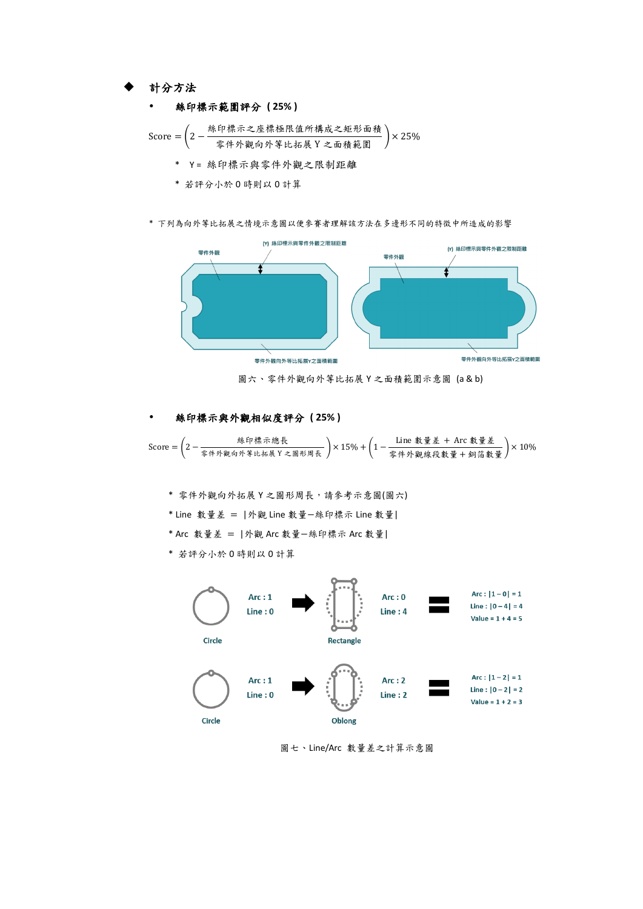◆ 計分方法

#### 絲印標示範圍評分 **( 25% )**

Score = 
$$
\left(2 - \frac{\&中ٔt.不之座,t.}{\text{10.1}\%} \times \frac{\&bf\# \times \&m\# \times \&m\# \times \&m\# \times \&m\# \times \&m\# \times \&m\# \times \&m\# \times \&m\# \times \&m\# \times \&m\# \times \&m\# \times \&m\# \times \&m\# \times \&m\# \times \&m\# \times \&m\# \times \&m\# \times \&m\# \times \&m\# \times \&m\# \times \&m\# \times \&m\# \times \&m\# \times \&m\# \times \&m\# \times \&m\# \times \&m\# \times \&m\# \times \&m\# \times \&m\# \times \&m\# \times \&m\# \times \&m\# \times \&m\# \times \&m\# \times \&m\# \times \&m\# \times \&m\# \times \&m\# \times \&m\# \times \&m\# \times \&m\# \times \&m\# \times \&m\# \times \&m\# \times \&m\# \times \&m\# \times \&m\# \times \&m\# \times \&m\# \times \&m\# \times \&m\# \times \&m\# \times \&m\# \times \&m\# \times \&m\# \times \&m\# \times \&m\# \times \&m\# \times \&m\# \times \&m\# \times \&m\# \times \&m\# \times \&m\# \times \&m\# \times \&m\# \times \&m\# \times \&m\# \times \&m\# \times \&m\# \times \&m\# \times \&m\# \times \&m\# \times \&m\# \times \&m\# \times \&m\# \times \&m\# \times \&m\# \times \&m\# \times \&
$$

- \* 若評分小於 0 時則以 0 計算
- \* 下列為向外等比拓展之情境示意圖以便參賽者理解該方法在多邊形不同的特徵中所造成的影響



圖六、零件外觀向外等比拓展 Y 之面積範圍示意圖 (a & b)

### 絲印標示與外觀相似度評分 **( 25% )**

Score = (2 − 絲印標示總長 零件外觀向外等比拓展 <sup>Y</sup> 之圖形周長 ) <sup>×</sup> 15% <sup>+</sup> (1 <sup>−</sup> Line 數量差 + Arc 數量差 零件外觀線段數量 <sup>+</sup> 銅箔數量 ) <sup>×</sup> 10%

- \* 零件外觀向外拓展 Y 之圖形周長,請參考示意圖(圖六)
- \* Line 數量差 = |外觀 Line 數量−絲印標示 Line 數量|
- \* Arc 數量差 = |外觀 Arc 數量−絲印標示 Arc 數量|
- \* 若評分小於 0 時則以 0 計算



圖七、Line/Arc 數量差之計算示意圖